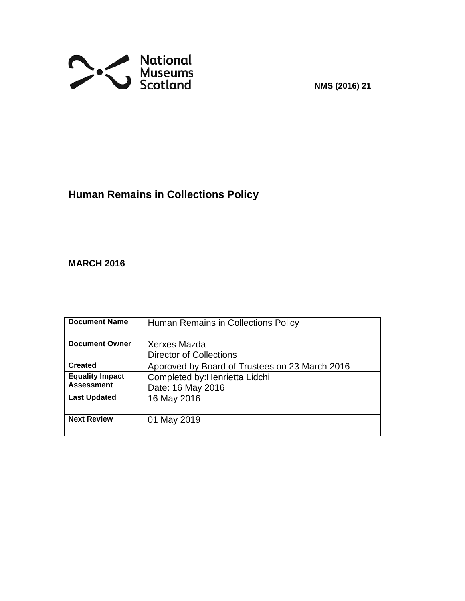

**NMS (2016) 21**

# **Human Remains in Collections Policy**

# **MARCH 2016**

| <b>Document Name</b>   | Human Remains in Collections Policy            |
|------------------------|------------------------------------------------|
|                        |                                                |
| <b>Document Owner</b>  | Xerxes Mazda                                   |
|                        | <b>Director of Collections</b>                 |
| <b>Created</b>         | Approved by Board of Trustees on 23 March 2016 |
| <b>Equality Impact</b> | Completed by: Henrietta Lidchi                 |
| <b>Assessment</b>      | Date: 16 May 2016                              |
| <b>Last Updated</b>    | 16 May 2016                                    |
|                        |                                                |
| <b>Next Review</b>     | 01 May 2019                                    |
|                        |                                                |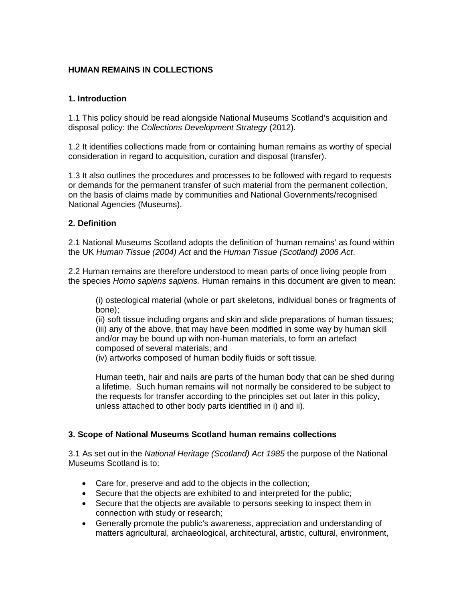### **HUMAN REMAINS IN COLLECTIONS**

## **1. Introduction**

1.1 This policy should be read alongside National Museums Scotland's acquisition and disposal policy: the *Collections Development Strategy* (2012).

1.2 It identifies collections made from or containing human remains as worthy of special consideration in regard to acquisition, curation and disposal (transfer).

1.3 It also outlines the procedures and processes to be followed with regard to requests or demands for the permanent transfer of such material from the permanent collection, on the basis of claims made by communities and National Governments/recognised National Agencies (Museums).

#### **2. Definition**

2.1 National Museums Scotland adopts the definition of 'human remains' as found within the UK *Human Tissue (2004) Act* and the *Human Tissue (Scotland) 2006 Act*.

2.2 Human remains are therefore understood to mean parts of once living people from the species *Homo sapiens sapiens.* Human remains in this document are given to mean:

(i) osteological material (whole or part skeletons, individual bones or fragments of bone);

(ii) soft tissue including organs and skin and slide preparations of human tissues; (iii) any of the above, that may have been modified in some way by human skill and/or may be bound up with non-human materials, to form an artefact composed of several materials; and

(iv) artworks composed of human bodily fluids or soft tissue.

Human teeth, hair and nails are parts of the human body that can be shed during a lifetime. Such human remains will not normally be considered to be subject to the requests for transfer according to the principles set out later in this policy, unless attached to other body parts identified in i) and ii).

#### **3. Scope of National Museums Scotland human remains collections**

3.1 As set out in the *National Heritage (Scotland) Act 1985* the purpose of the National Museums Scotland is to:

- Care for, preserve and add to the objects in the collection;
- Secure that the objects are exhibited to and interpreted for the public;
- Secure that the objects are available to persons seeking to inspect them in connection with study or research;
- Generally promote the public's awareness, appreciation and understanding of matters agricultural, archaeological, architectural, artistic, cultural, environment,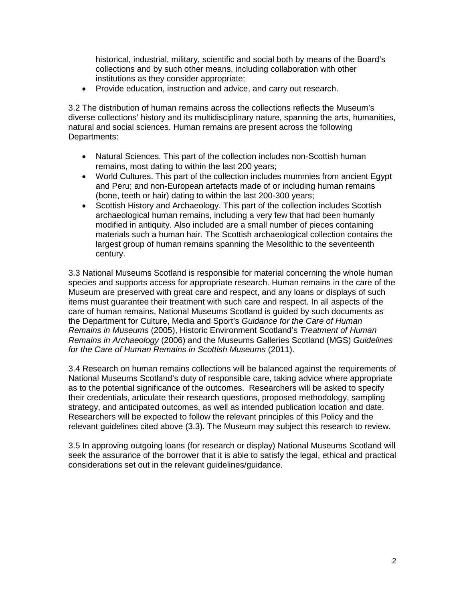historical, industrial, military, scientific and social both by means of the Board's collections and by such other means, including collaboration with other institutions as they consider appropriate;

• Provide education, instruction and advice, and carry out research.

3.2 The distribution of human remains across the collections reflects the Museum's diverse collections' history and its multidisciplinary nature, spanning the arts, humanities, natural and social sciences. Human remains are present across the following Departments:

- Natural Sciences. This part of the collection includes non-Scottish human remains, most dating to within the last 200 years;
- World Cultures. This part of the collection includes mummies from ancient Egypt and Peru; and non-European artefacts made of or including human remains (bone, teeth or hair) dating to within the last 200-300 years;
- Scottish History and Archaeology. This part of the collection includes Scottish archaeological human remains, including a very few that had been humanly modified in antiquity. Also included are a small number of pieces containing materials such a human hair. The Scottish archaeological collection contains the largest group of human remains spanning the Mesolithic to the seventeenth century.

3.3 National Museums Scotland is responsible for material concerning the whole human species and supports access for appropriate research. Human remains in the care of the Museum are preserved with great care and respect, and any loans or displays of such items must guarantee their treatment with such care and respect. In all aspects of the care of human remains, National Museums Scotland is guided by such documents as the Department for Culture, Media and Sport's *Guidance for the Care of Human Remains in Museums* (2005), Historic Environment Scotland's *Treatment of Human Remains in Archaeology* (2006) and the Museums Galleries Scotland (MGS) *Guidelines for the Care of Human Remains in Scottish Museums* (2011).

3.4 Research on human remains collections will be balanced against the requirements of National Museums Scotland's duty of responsible care, taking advice where appropriate as to the potential significance of the outcomes. Researchers will be asked to specify their credentials, articulate their research questions, proposed methodology, sampling strategy, and anticipated outcomes, as well as intended publication location and date. Researchers will be expected to follow the relevant principles of this Policy and the relevant guidelines cited above (3.3). The Museum may subject this research to review.

3.5 In approving outgoing loans (for research or display) National Museums Scotland will seek the assurance of the borrower that it is able to satisfy the legal, ethical and practical considerations set out in the relevant guidelines/guidance.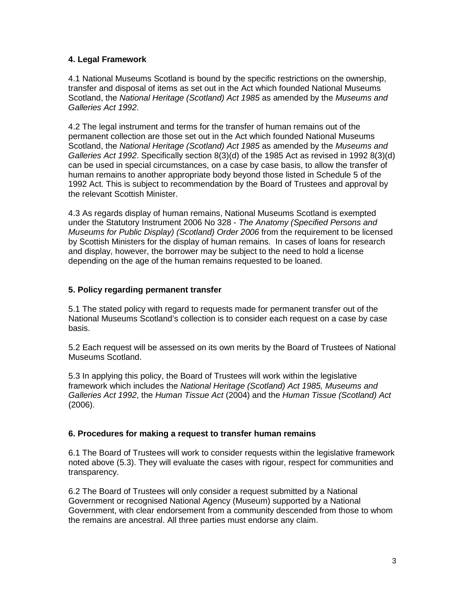# **4. Legal Framework**

4.1 National Museums Scotland is bound by the specific restrictions on the ownership, transfer and disposal of items as set out in the Act which founded National Museums Scotland, the *National Heritage (Scotland) Act 1985* as amended by the *Museums and Galleries Act 1992*.

4.2 The legal instrument and terms for the transfer of human remains out of the permanent collection are those set out in the Act which founded National Museums Scotland, the *National Heritage (Scotland) Act 1985* as amended by the *Museums and Galleries Act 1992*. Specifically section 8(3)(d) of the 1985 Act as revised in 1992 8(3)(d) can be used in special circumstances, on a case by case basis, to allow the transfer of human remains to another appropriate body beyond those listed in Schedule 5 of the 1992 Act. This is subject to recommendation by the Board of Trustees and approval by the relevant Scottish Minister.

4.3 As regards display of human remains, National Museums Scotland is exempted under the Statutory Instrument 2006 No 328 - *The Anatomy (Specified Persons and Museums for Public Display) (Scotland) Order 2006* from the requirement to be licensed by Scottish Ministers for the display of human remains. In cases of loans for research and display, however, the borrower may be subject to the need to hold a license depending on the age of the human remains requested to be loaned.

# **5. Policy regarding permanent transfer**

5.1 The stated policy with regard to requests made for permanent transfer out of the National Museums Scotland's collection is to consider each request on a case by case basis.

5.2 Each request will be assessed on its own merits by the Board of Trustees of National Museums Scotland.

5.3 In applying this policy, the Board of Trustees will work within the legislative framework which includes the *National Heritage (Scotland) Act 1985, Museums and Galleries Act 1992*, the *Human Tissue Act* (2004) and the *Human Tissue (Scotland) Act* (2006).

#### **6. Procedures for making a request to transfer human remains**

6.1 The Board of Trustees will work to consider requests within the legislative framework noted above (5.3). They will evaluate the cases with rigour, respect for communities and transparency.

6.2 The Board of Trustees will only consider a request submitted by a National Government or recognised National Agency (Museum) supported by a National Government, with clear endorsement from a community descended from those to whom the remains are ancestral. All three parties must endorse any claim.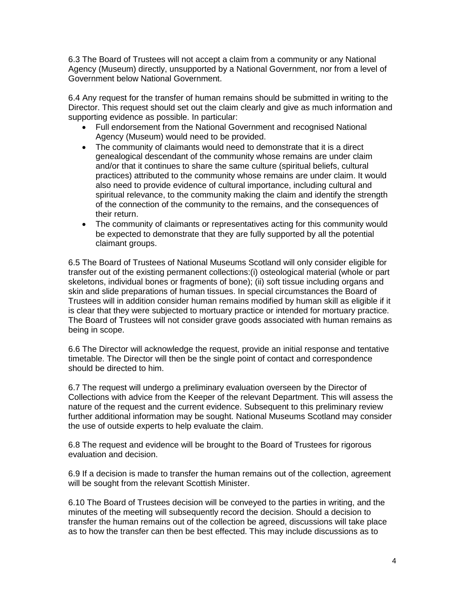6.3 The Board of Trustees will not accept a claim from a community or any National Agency (Museum) directly, unsupported by a National Government, nor from a level of Government below National Government.

6.4 Any request for the transfer of human remains should be submitted in writing to the Director. This request should set out the claim clearly and give as much information and supporting evidence as possible. In particular:

- Full endorsement from the National Government and recognised National Agency (Museum) would need to be provided.
- The community of claimants would need to demonstrate that it is a direct genealogical descendant of the community whose remains are under claim and/or that it continues to share the same culture (spiritual beliefs, cultural practices) attributed to the community whose remains are under claim. It would also need to provide evidence of cultural importance, including cultural and spiritual relevance, to the community making the claim and identify the strength of the connection of the community to the remains, and the consequences of their return.
- The community of claimants or representatives acting for this community would be expected to demonstrate that they are fully supported by all the potential claimant groups.

6.5 The Board of Trustees of National Museums Scotland will only consider eligible for transfer out of the existing permanent collections:(i) osteological material (whole or part skeletons, individual bones or fragments of bone); (ii) soft tissue including organs and skin and slide preparations of human tissues. In special circumstances the Board of Trustees will in addition consider human remains modified by human skill as eligible if it is clear that they were subjected to mortuary practice or intended for mortuary practice. The Board of Trustees will not consider grave goods associated with human remains as being in scope.

6.6 The Director will acknowledge the request, provide an initial response and tentative timetable. The Director will then be the single point of contact and correspondence should be directed to him.

6.7 The request will undergo a preliminary evaluation overseen by the Director of Collections with advice from the Keeper of the relevant Department. This will assess the nature of the request and the current evidence. Subsequent to this preliminary review further additional information may be sought. National Museums Scotland may consider the use of outside experts to help evaluate the claim.

6.8 The request and evidence will be brought to the Board of Trustees for rigorous evaluation and decision.

6.9 If a decision is made to transfer the human remains out of the collection, agreement will be sought from the relevant Scottish Minister.

6.10 The Board of Trustees decision will be conveyed to the parties in writing, and the minutes of the meeting will subsequently record the decision. Should a decision to transfer the human remains out of the collection be agreed, discussions will take place as to how the transfer can then be best effected. This may include discussions as to